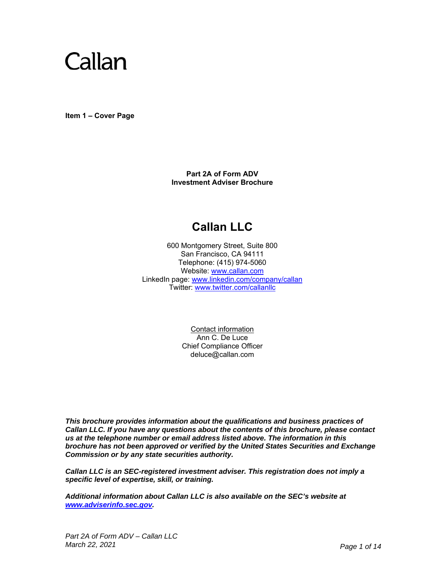

**Item 1 – Cover Page** 

**Part 2A of Form ADV Investment Adviser Brochure**

# **Callan LLC**

600 Montgomery Street, Suite 800 San Francisco, CA 94111 Telephone: (415) 974-5060 Website: www.callan.com LinkedIn page: www.linkedin.com/company/callan Twitter: www.twitter.com/callanllc

> Contact information Ann C. De Luce Chief Compliance Officer deluce@callan.com

*This brochure provides information about the qualifications and business practices of Callan LLC. If you have any questions about the contents of this brochure, please contact us at the telephone number or email address listed above. The information in this brochure has not been approved or verified by the United States Securities and Exchange Commission or by any state securities authority.* 

*Callan LLC is an SEC-registered investment adviser. This registration does not imply a specific level of expertise, skill, or training.* 

*Additional information about Callan LLC is also available on the SEC's website at www.adviserinfo.sec.gov.*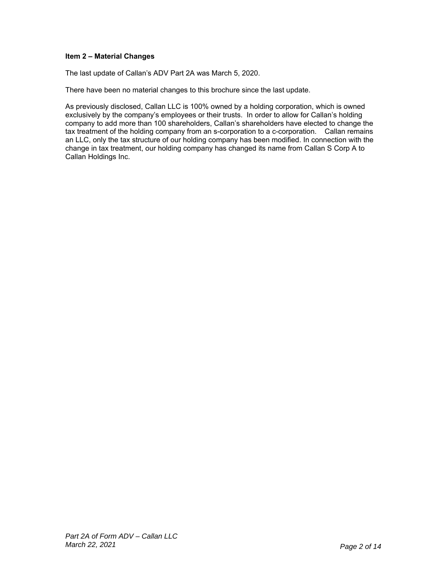# **Item 2 – Material Changes**

The last update of Callan's ADV Part 2A was March 5, 2020.

There have been no material changes to this brochure since the last update.

As previously disclosed, Callan LLC is 100% owned by a holding corporation, which is owned exclusively by the company's employees or their trusts. In order to allow for Callan's holding company to add more than 100 shareholders, Callan's shareholders have elected to change the tax treatment of the holding company from an s-corporation to a c-corporation. Callan remains an LLC, only the tax structure of our holding company has been modified. In connection with the change in tax treatment, our holding company has changed its name from Callan S Corp A to Callan Holdings Inc.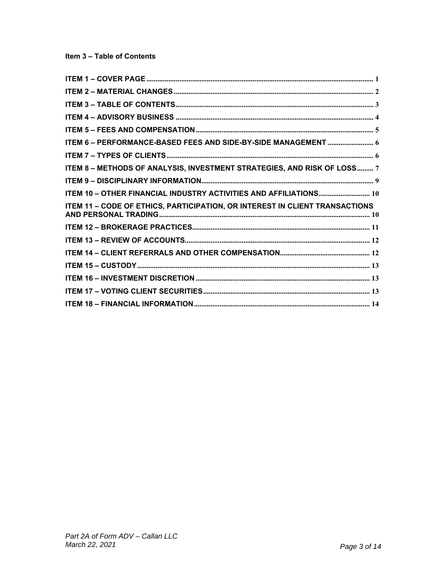| ITEM 6 - PERFORMANCE-BASED FEES AND SIDE-BY-SIDE MANAGEMENT  6              |
|-----------------------------------------------------------------------------|
|                                                                             |
| ITEM 8 - METHODS OF ANALYSIS, INVESTMENT STRATEGIES, AND RISK OF LOSS 7     |
|                                                                             |
| ITEM 10 - OTHER FINANCIAL INDUSTRY ACTIVITIES AND AFFILIATIONS 10           |
| ITEM 11 - CODE OF ETHICS, PARTICIPATION, OR INTEREST IN CLIENT TRANSACTIONS |
|                                                                             |
|                                                                             |
|                                                                             |
|                                                                             |
|                                                                             |
|                                                                             |
|                                                                             |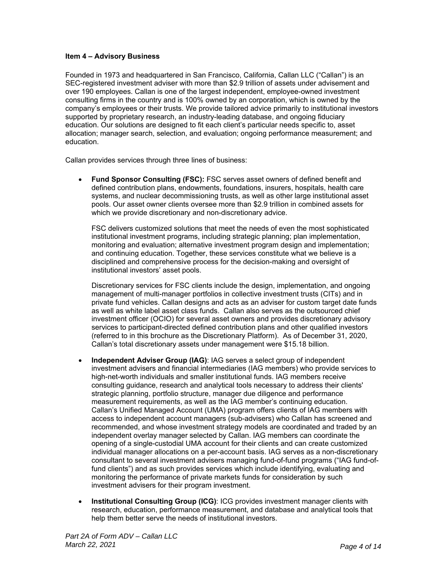### **Item 4 – Advisory Business**

Founded in 1973 and headquartered in San Francisco, California, Callan LLC ("Callan") is an SEC-registered investment adviser with more than \$2.9 trillion of assets under advisement and over 190 employees. Callan is one of the largest independent, employee-owned investment consulting firms in the country and is 100% owned by an corporation, which is owned by the company's employees or their trusts. We provide tailored advice primarily to institutional investors supported by proprietary research, an industry-leading database, and ongoing fiduciary education. Our solutions are designed to fit each client's particular needs specific to, asset allocation; manager search, selection, and evaluation; ongoing performance measurement; and education.

Callan provides services through three lines of business:

 **Fund Sponsor Consulting (FSC):** FSC serves asset owners of defined benefit and defined contribution plans, endowments, foundations, insurers, hospitals, health care systems, and nuclear decommissioning trusts, as well as other large institutional asset pools. Our asset owner clients oversee more than \$2.9 trillion in combined assets for which we provide discretionary and non-discretionary advice.

FSC delivers customized solutions that meet the needs of even the most sophisticated institutional investment programs, including strategic planning; plan implementation, monitoring and evaluation; alternative investment program design and implementation; and continuing education. Together, these services constitute what we believe is a disciplined and comprehensive process for the decision-making and oversight of institutional investors' asset pools.

Discretionary services for FSC clients include the design, implementation, and ongoing management of multi-manager portfolios in collective investment trusts (CITs) and in private fund vehicles. Callan designs and acts as an adviser for custom target date funds as well as white label asset class funds. Callan also serves as the outsourced chief investment officer (OCIO) for several asset owners and provides discretionary advisory services to participant-directed defined contribution plans and other qualified investors (referred to in this brochure as the Discretionary Platform). As of December 31, 2020, Callan's total discretionary assets under management were \$15.18 billion.

- **Independent Adviser Group (IAG)**: IAG serves a select group of independent investment advisers and financial intermediaries (IAG members) who provide services to high-net-worth individuals and smaller institutional funds. IAG members receive consulting guidance, research and analytical tools necessary to address their clients' strategic planning, portfolio structure, manager due diligence and performance measurement requirements, as well as the IAG member's continuing education. Callan's Unified Managed Account (UMA) program offers clients of IAG members with access to independent account managers (sub-advisers) who Callan has screened and recommended, and whose investment strategy models are coordinated and traded by an independent overlay manager selected by Callan. IAG members can coordinate the opening of a single-custodial UMA account for their clients and can create customized individual manager allocations on a per-account basis. IAG serves as a non-discretionary consultant to several investment advisers managing fund-of-fund programs ("IAG fund-offund clients") and as such provides services which include identifying, evaluating and monitoring the performance of private markets funds for consideration by such investment advisers for their program investment.
- **Institutional Consulting Group (ICG)**: ICG provides investment manager clients with research, education, performance measurement, and database and analytical tools that help them better serve the needs of institutional investors.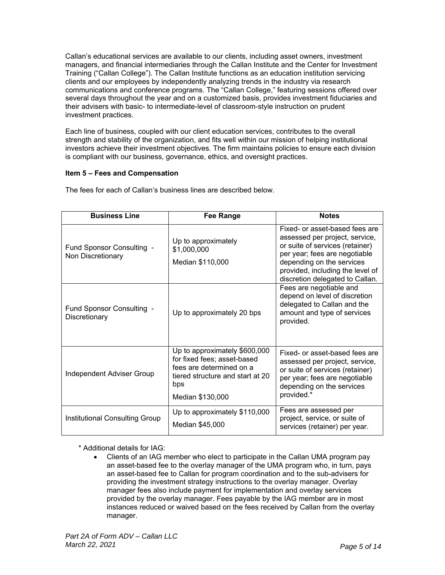Callan's educational services are available to our clients, including asset owners, investment managers, and financial intermediaries through the Callan Institute and the Center for Investment Training ("Callan College"). The Callan Institute functions as an education institution servicing clients and our employees by independently analyzing trends in the industry via research communications and conference programs. The "Callan College," featuring sessions offered over several days throughout the year and on a customized basis, provides investment fiduciaries and their advisers with basic- to intermediate-level of classroom-style instruction on prudent investment practices.

Each line of business, coupled with our client education services, contributes to the overall strength and stability of the organization, and fits well within our mission of helping institutional investors achieve their investment objectives. The firm maintains policies to ensure each division is compliant with our business, governance, ethics, and oversight practices.

# **Item 5 – Fees and Compensation**

The fees for each of Callan's business lines are described below.

| <b>Business Line</b>                           | <b>Fee Range</b>                                                                                                                                        | <b>Notes</b>                                                                                                                                                                                                                             |
|------------------------------------------------|---------------------------------------------------------------------------------------------------------------------------------------------------------|------------------------------------------------------------------------------------------------------------------------------------------------------------------------------------------------------------------------------------------|
| Fund Sponsor Consulting -<br>Non Discretionary | Up to approximately<br>\$1,000,000<br>Median \$110,000                                                                                                  | Fixed- or asset-based fees are<br>assessed per project, service,<br>or suite of services (retainer)<br>per year; fees are negotiable<br>depending on the services<br>provided, including the level of<br>discretion delegated to Callan. |
| Fund Sponsor Consulting -<br>Discretionary     | Up to approximately 20 bps                                                                                                                              | Fees are negotiable and<br>depend on level of discretion<br>delegated to Callan and the<br>amount and type of services<br>provided.                                                                                                      |
| Independent Adviser Group                      | Up to approximately \$600,000<br>for fixed fees; asset-based<br>fees are determined on a<br>tiered structure and start at 20<br>bps<br>Median \$130,000 | Fixed- or asset-based fees are<br>assessed per project, service,<br>or suite of services (retainer)<br>per year; fees are negotiable<br>depending on the services<br>provided.*                                                          |
| Institutional Consulting Group                 | Up to approximately \$110,000<br>Median \$45,000                                                                                                        | Fees are assessed per<br>project, service, or suite of<br>services (retainer) per year.                                                                                                                                                  |

\* Additional details for IAG:

 Clients of an IAG member who elect to participate in the Callan UMA program pay an asset-based fee to the overlay manager of the UMA program who, in turn, pays an asset-based fee to Callan for program coordination and to the sub-advisers for providing the investment strategy instructions to the overlay manager. Overlay manager fees also include payment for implementation and overlay services provided by the overlay manager. Fees payable by the IAG member are in most instances reduced or waived based on the fees received by Callan from the overlay manager.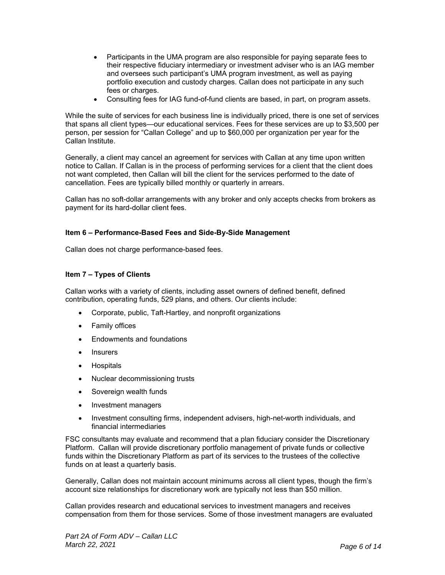- Participants in the UMA program are also responsible for paying separate fees to their respective fiduciary intermediary or investment adviser who is an IAG member and oversees such participant's UMA program investment, as well as paying portfolio execution and custody charges. Callan does not participate in any such fees or charges.
- Consulting fees for IAG fund-of-fund clients are based, in part, on program assets.

While the suite of services for each business line is individually priced, there is one set of services that spans all client types—our educational services. Fees for these services are up to \$3,500 per person, per session for "Callan College" and up to \$60,000 per organization per year for the Callan Institute.

Generally, a client may cancel an agreement for services with Callan at any time upon written notice to Callan. If Callan is in the process of performing services for a client that the client does not want completed, then Callan will bill the client for the services performed to the date of cancellation. Fees are typically billed monthly or quarterly in arrears.

Callan has no soft-dollar arrangements with any broker and only accepts checks from brokers as payment for its hard-dollar client fees.

### **Item 6 – Performance-Based Fees and Side-By-Side Management**

Callan does not charge performance-based fees.

# **Item 7 – Types of Clients**

Callan works with a variety of clients, including asset owners of defined benefit, defined contribution, operating funds, 529 plans, and others. Our clients include:

- Corporate, public, Taft-Hartley, and nonprofit organizations
- Family offices
- Endowments and foundations
- Insurers
- Hospitals
- Nuclear decommissioning trusts
- Sovereign wealth funds
- Investment managers
- Investment consulting firms, independent advisers, high-net-worth individuals, and financial intermediaries

FSC consultants may evaluate and recommend that a plan fiduciary consider the Discretionary Platform. Callan will provide discretionary portfolio management of private funds or collective funds within the Discretionary Platform as part of its services to the trustees of the collective funds on at least a quarterly basis.

Generally, Callan does not maintain account minimums across all client types, though the firm's account size relationships for discretionary work are typically not less than \$50 million.

Callan provides research and educational services to investment managers and receives compensation from them for those services. Some of those investment managers are evaluated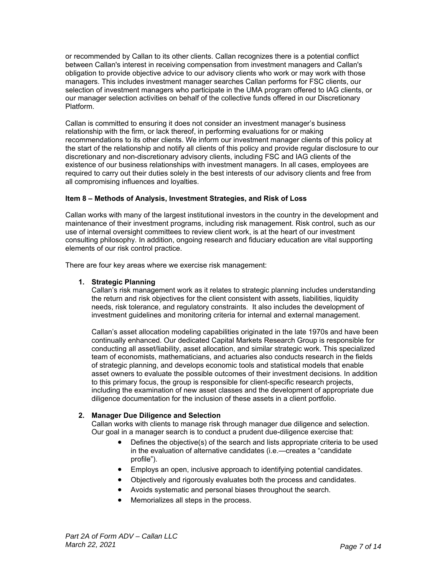or recommended by Callan to its other clients. Callan recognizes there is a potential conflict between Callan's interest in receiving compensation from investment managers and Callan's obligation to provide objective advice to our advisory clients who work or may work with those managers. This includes investment manager searches Callan performs for FSC clients, our selection of investment managers who participate in the UMA program offered to IAG clients, or our manager selection activities on behalf of the collective funds offered in our Discretionary Platform.

Callan is committed to ensuring it does not consider an investment manager's business relationship with the firm, or lack thereof, in performing evaluations for or making recommendations to its other clients. We inform our investment manager clients of this policy at the start of the relationship and notify all clients of this policy and provide regular disclosure to our discretionary and non-discretionary advisory clients, including FSC and IAG clients of the existence of our business relationships with investment managers. In all cases, employees are required to carry out their duties solely in the best interests of our advisory clients and free from all compromising influences and loyalties.

# **Item 8 – Methods of Analysis, Investment Strategies, and Risk of Loss**

Callan works with many of the largest institutional investors in the country in the development and maintenance of their investment programs, including risk management. Risk control, such as our use of internal oversight committees to review client work, is at the heart of our investment consulting philosophy. In addition, ongoing research and fiduciary education are vital supporting elements of our risk control practice.

There are four key areas where we exercise risk management:

#### **1. Strategic Planning**

Callan's risk management work as it relates to strategic planning includes understanding the return and risk objectives for the client consistent with assets, liabilities, liquidity needs, risk tolerance, and regulatory constraints. It also includes the development of investment guidelines and monitoring criteria for internal and external management.

Callan's asset allocation modeling capabilities originated in the late 1970s and have been continually enhanced. Our dedicated Capital Markets Research Group is responsible for conducting all asset/liability, asset allocation, and similar strategic work. This specialized team of economists, mathematicians, and actuaries also conducts research in the fields of strategic planning, and develops economic tools and statistical models that enable asset owners to evaluate the possible outcomes of their investment decisions. In addition to this primary focus, the group is responsible for client-specific research projects, including the examination of new asset classes and the development of appropriate due diligence documentation for the inclusion of these assets in a client portfolio.

#### **2. Manager Due Diligence and Selection**

Callan works with clients to manage risk through manager due diligence and selection. Our goal in a manager search is to conduct a prudent due-diligence exercise that:

- Defines the objective(s) of the search and lists appropriate criteria to be used in the evaluation of alternative candidates (i.e.—creates a "candidate profile").
- Employs an open, inclusive approach to identifying potential candidates.
- Objectively and rigorously evaluates both the process and candidates.
- Avoids systematic and personal biases throughout the search.
- Memorializes all steps in the process.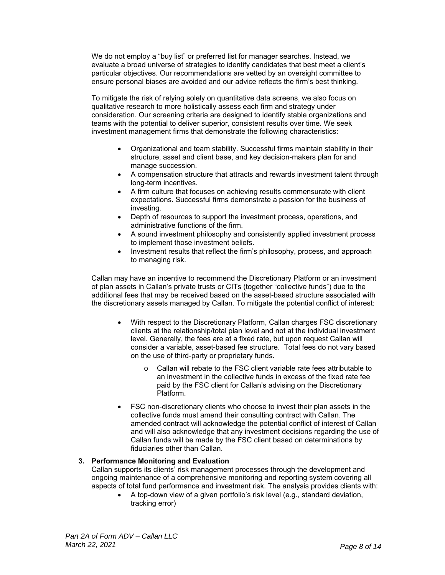We do not employ a "buy list" or preferred list for manager searches. Instead, we evaluate a broad universe of strategies to identify candidates that best meet a client's particular objectives. Our recommendations are vetted by an oversight committee to ensure personal biases are avoided and our advice reflects the firm's best thinking.

To mitigate the risk of relying solely on quantitative data screens, we also focus on qualitative research to more holistically assess each firm and strategy under consideration. Our screening criteria are designed to identify stable organizations and teams with the potential to deliver superior, consistent results over time. We seek investment management firms that demonstrate the following characteristics:

- Organizational and team stability. Successful firms maintain stability in their structure, asset and client base, and key decision-makers plan for and manage succession.
- A compensation structure that attracts and rewards investment talent through long-term incentives.
- A firm culture that focuses on achieving results commensurate with client expectations. Successful firms demonstrate a passion for the business of investing.
- Depth of resources to support the investment process, operations, and administrative functions of the firm.
- A sound investment philosophy and consistently applied investment process to implement those investment beliefs.
- Investment results that reflect the firm's philosophy, process, and approach to managing risk.

Callan may have an incentive to recommend the Discretionary Platform or an investment of plan assets in Callan's private trusts or CITs (together "collective funds") due to the additional fees that may be received based on the asset-based structure associated with the discretionary assets managed by Callan. To mitigate the potential conflict of interest:

- With respect to the Discretionary Platform, Callan charges FSC discretionary clients at the relationship/total plan level and not at the individual investment level. Generally, the fees are at a fixed rate, but upon request Callan will consider a variable, asset-based fee structure. Total fees do not vary based on the use of third-party or proprietary funds.
	- o Callan will rebate to the FSC client variable rate fees attributable to an investment in the collective funds in excess of the fixed rate fee paid by the FSC client for Callan's advising on the Discretionary Platform.
- FSC non-discretionary clients who choose to invest their plan assets in the collective funds must amend their consulting contract with Callan. The amended contract will acknowledge the potential conflict of interest of Callan and will also acknowledge that any investment decisions regarding the use of Callan funds will be made by the FSC client based on determinations by fiduciaries other than Callan.

# **3. Performance Monitoring and Evaluation**

Callan supports its clients' risk management processes through the development and ongoing maintenance of a comprehensive monitoring and reporting system covering all aspects of total fund performance and investment risk. The analysis provides clients with:

 A top-down view of a given portfolio's risk level (e.g., standard deviation, tracking error)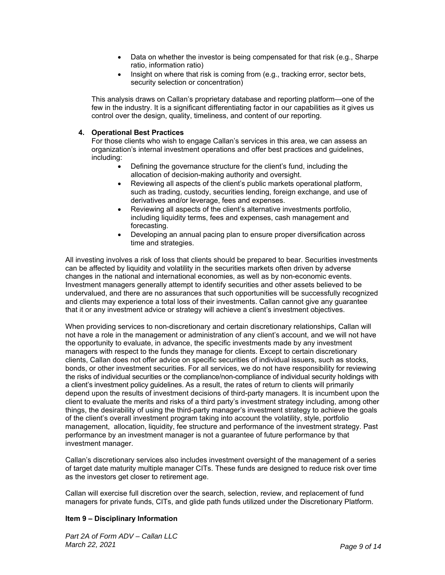- Data on whether the investor is being compensated for that risk (e.g., Sharpe ratio, information ratio)
- Insight on where that risk is coming from (e.g., tracking error, sector bets, security selection or concentration)

This analysis draws on Callan's proprietary database and reporting platform—one of the few in the industry. It is a significant differentiating factor in our capabilities as it gives us control over the design, quality, timeliness, and content of our reporting.

### **4. Operational Best Practices**

For those clients who wish to engage Callan's services in this area, we can assess an organization's internal investment operations and offer best practices and guidelines, including:

- Defining the governance structure for the client's fund, including the allocation of decision-making authority and oversight.
- Reviewing all aspects of the client's public markets operational platform, such as trading, custody, securities lending, foreign exchange, and use of derivatives and/or leverage, fees and expenses.
- Reviewing all aspects of the client's alternative investments portfolio, including liquidity terms, fees and expenses, cash management and forecasting.
- Developing an annual pacing plan to ensure proper diversification across time and strategies.

All investing involves a risk of loss that clients should be prepared to bear. Securities investments can be affected by liquidity and volatility in the securities markets often driven by adverse changes in the national and international economies, as well as by non-economic events. Investment managers generally attempt to identify securities and other assets believed to be undervalued, and there are no assurances that such opportunities will be successfully recognized and clients may experience a total loss of their investments. Callan cannot give any guarantee that it or any investment advice or strategy will achieve a client's investment objectives.

When providing services to non-discretionary and certain discretionary relationships, Callan will not have a role in the management or administration of any client's account, and we will not have the opportunity to evaluate, in advance, the specific investments made by any investment managers with respect to the funds they manage for clients. Except to certain discretionary clients, Callan does not offer advice on specific securities of individual issuers, such as stocks, bonds, or other investment securities. For all services, we do not have responsibility for reviewing the risks of individual securities or the compliance/non-compliance of individual security holdings with a client's investment policy guidelines. As a result, the rates of return to clients will primarily depend upon the results of investment decisions of third-party managers. It is incumbent upon the client to evaluate the merits and risks of a third party's investment strategy including, among other things, the desirability of using the third-party manager's investment strategy to achieve the goals of the client's overall investment program taking into account the volatility, style, portfolio management, allocation, liquidity, fee structure and performance of the investment strategy. Past performance by an investment manager is not a guarantee of future performance by that investment manager.

Callan's discretionary services also includes investment oversight of the management of a series of target date maturity multiple manager CITs. These funds are designed to reduce risk over time as the investors get closer to retirement age.

Callan will exercise full discretion over the search, selection, review, and replacement of fund managers for private funds, CITs, and glide path funds utilized under the Discretionary Platform.

# **Item 9 – Disciplinary Information**

*Part 2A of Form ADV – Callan LLC March 22, 2021 Page 9 of 14*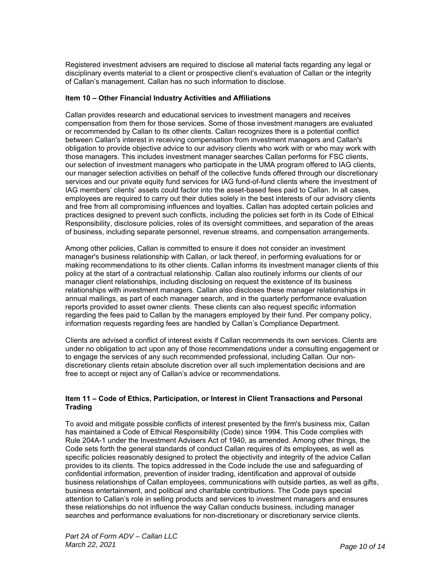Registered investment advisers are required to disclose all material facts regarding any legal or disciplinary events material to a client or prospective client's evaluation of Callan or the integrity of Callan's management. Callan has no such information to disclose.

### **Item 10 – Other Financial Industry Activities and Affiliations**

Callan provides research and educational services to investment managers and receives compensation from them for those services. Some of those investment managers are evaluated or recommended by Callan to its other clients. Callan recognizes there is a potential conflict between Callan's interest in receiving compensation from investment managers and Callan's obligation to provide objective advice to our advisory clients who work with or who may work with those managers. This includes investment manager searches Callan performs for FSC clients, our selection of investment managers who participate in the UMA program offered to IAG clients, our manager selection activities on behalf of the collective funds offered through our discretionary services and our private equity fund services for IAG fund-of-fund clients where the investment of IAG members' clients' assets could factor into the asset-based fees paid to Callan. In all cases, employees are required to carry out their duties solely in the best interests of our advisory clients and free from all compromising influences and loyalties. Callan has adopted certain policies and practices designed to prevent such conflicts, including the policies set forth in its Code of Ethical Responsibility, disclosure policies, roles of its oversight committees, and separation of the areas of business, including separate personnel, revenue streams, and compensation arrangements.

Among other policies, Callan is committed to ensure it does not consider an investment manager's business relationship with Callan, or lack thereof, in performing evaluations for or making recommendations to its other clients. Callan informs its investment manager clients of this policy at the start of a contractual relationship. Callan also routinely informs our clients of our manager client relationships, including disclosing on request the existence of its business relationships with investment managers. Callan also discloses these manager relationships in annual mailings, as part of each manager search, and in the quarterly performance evaluation reports provided to asset owner clients. These clients can also request specific information regarding the fees paid to Callan by the managers employed by their fund. Per company policy, information requests regarding fees are handled by Callan's Compliance Department.

Clients are advised a conflict of interest exists if Callan recommends its own services. Clients are under no obligation to act upon any of those recommendations under a consulting engagement or to engage the services of any such recommended professional, including Callan. Our nondiscretionary clients retain absolute discretion over all such implementation decisions and are free to accept or reject any of Callan's advice or recommendations.

### **Item 11 – Code of Ethics, Participation, or Interest in Client Transactions and Personal Trading**

To avoid and mitigate possible conflicts of interest presented by the firm's business mix, Callan has maintained a Code of Ethical Responsibility (Code) since 1994. This Code complies with Rule 204A-1 under the Investment Advisers Act of 1940, as amended. Among other things, the Code sets forth the general standards of conduct Callan requires of its employees, as well as specific policies reasonably designed to protect the objectivity and integrity of the advice Callan provides to its clients. The topics addressed in the Code include the use and safeguarding of confidential information, prevention of insider trading, identification and approval of outside business relationships of Callan employees, communications with outside parties, as well as gifts, business entertainment, and political and charitable contributions. The Code pays special attention to Callan's role in selling products and services to investment managers and ensures these relationships do not influence the way Callan conducts business, including manager searches and performance evaluations for non-discretionary or discretionary service clients.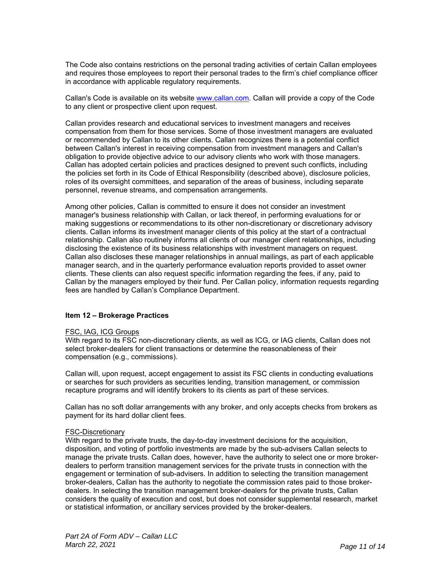The Code also contains restrictions on the personal trading activities of certain Callan employees and requires those employees to report their personal trades to the firm's chief compliance officer in accordance with applicable regulatory requirements.

Callan's Code is available on its website www.callan.com. Callan will provide a copy of the Code to any client or prospective client upon request.

Callan provides research and educational services to investment managers and receives compensation from them for those services. Some of those investment managers are evaluated or recommended by Callan to its other clients. Callan recognizes there is a potential conflict between Callan's interest in receiving compensation from investment managers and Callan's obligation to provide objective advice to our advisory clients who work with those managers. Callan has adopted certain policies and practices designed to prevent such conflicts, including the policies set forth in its Code of Ethical Responsibility (described above), disclosure policies, roles of its oversight committees, and separation of the areas of business, including separate personnel, revenue streams, and compensation arrangements.

Among other policies, Callan is committed to ensure it does not consider an investment manager's business relationship with Callan, or lack thereof, in performing evaluations for or making suggestions or recommendations to its other non-discretionary or discretionary advisory clients. Callan informs its investment manager clients of this policy at the start of a contractual relationship. Callan also routinely informs all clients of our manager client relationships, including disclosing the existence of its business relationships with investment managers on request. Callan also discloses these manager relationships in annual mailings, as part of each applicable manager search, and in the quarterly performance evaluation reports provided to asset owner clients. These clients can also request specific information regarding the fees, if any, paid to Callan by the managers employed by their fund. Per Callan policy, information requests regarding fees are handled by Callan's Compliance Department.

#### **Item 12 – Brokerage Practices**

#### FSC, IAG, ICG Groups

With regard to its FSC non-discretionary clients, as well as ICG, or IAG clients, Callan does not select broker-dealers for client transactions or determine the reasonableness of their compensation (e.g., commissions).

Callan will, upon request, accept engagement to assist its FSC clients in conducting evaluations or searches for such providers as securities lending, transition management, or commission recapture programs and will identify brokers to its clients as part of these services.

Callan has no soft dollar arrangements with any broker, and only accepts checks from brokers as payment for its hard dollar client fees.

#### FSC-Discretionary

With regard to the private trusts, the day-to-day investment decisions for the acquisition, disposition, and voting of portfolio investments are made by the sub-advisers Callan selects to manage the private trusts. Callan does, however, have the authority to select one or more brokerdealers to perform transition management services for the private trusts in connection with the engagement or termination of sub-advisers. In addition to selecting the transition management broker-dealers, Callan has the authority to negotiate the commission rates paid to those brokerdealers. In selecting the transition management broker-dealers for the private trusts, Callan considers the quality of execution and cost, but does not consider supplemental research, market or statistical information, or ancillary services provided by the broker-dealers.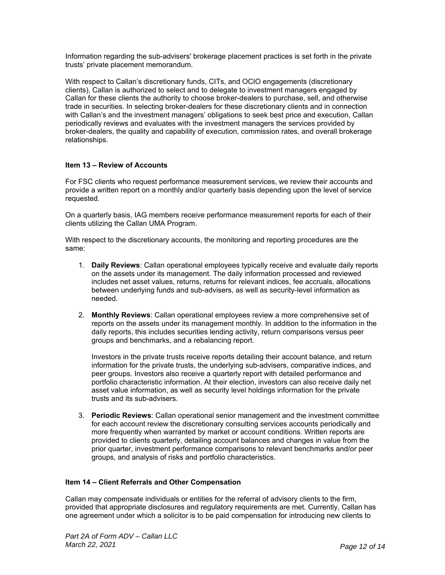Information regarding the sub-advisers' brokerage placement practices is set forth in the private trusts' private placement memorandum.

With respect to Callan's discretionary funds, CITs, and OCIO engagements (discretionary clients), Callan is authorized to select and to delegate to investment managers engaged by Callan for these clients the authority to choose broker-dealers to purchase, sell, and otherwise trade in securities. In selecting broker-dealers for these discretionary clients and in connection with Callan's and the investment managers' obligations to seek best price and execution, Callan periodically reviews and evaluates with the investment managers the services provided by broker-dealers, the quality and capability of execution, commission rates, and overall brokerage relationships.

# **Item 13 – Review of Accounts**

For FSC clients who request performance measurement services, we review their accounts and provide a written report on a monthly and/or quarterly basis depending upon the level of service requested.

On a quarterly basis, IAG members receive performance measurement reports for each of their clients utilizing the Callan UMA Program.

With respect to the discretionary accounts, the monitoring and reporting procedures are the same:

- 1. **Daily Reviews**: Callan operational employees typically receive and evaluate daily reports on the assets under its management. The daily information processed and reviewed includes net asset values, returns, returns for relevant indices, fee accruals, allocations between underlying funds and sub-advisers, as well as security-level information as needed.
- 2. **Monthly Reviews**: Callan operational employees review a more comprehensive set of reports on the assets under its management monthly. In addition to the information in the daily reports, this includes securities lending activity, return comparisons versus peer groups and benchmarks, and a rebalancing report.

Investors in the private trusts receive reports detailing their account balance, and return information for the private trusts, the underlying sub-advisers, comparative indices, and peer groups. Investors also receive a quarterly report with detailed performance and portfolio characteristic information. At their election, investors can also receive daily net asset value information, as well as security level holdings information for the private trusts and its sub-advisers.

3. **Periodic Reviews**: Callan operational senior management and the investment committee for each account review the discretionary consulting services accounts periodically and more frequently when warranted by market or account conditions. Written reports are provided to clients quarterly, detailing account balances and changes in value from the prior quarter, investment performance comparisons to relevant benchmarks and/or peer groups, and analysis of risks and portfolio characteristics.

#### **Item 14 – Client Referrals and Other Compensation**

Callan may compensate individuals or entities for the referral of advisory clients to the firm, provided that appropriate disclosures and regulatory requirements are met. Currently, Callan has one agreement under which a solicitor is to be paid compensation for introducing new clients to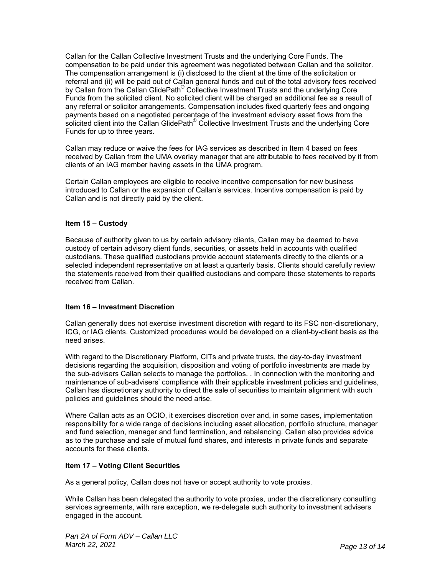Callan for the Callan Collective Investment Trusts and the underlying Core Funds. The compensation to be paid under this agreement was negotiated between Callan and the solicitor. The compensation arrangement is (i) disclosed to the client at the time of the solicitation or referral and (ii) will be paid out of Callan general funds and out of the total advisory fees received by Callan from the Callan GlidePath® Collective Investment Trusts and the underlying Core Funds from the solicited client. No solicited client will be charged an additional fee as a result of any referral or solicitor arrangements. Compensation includes fixed quarterly fees and ongoing payments based on a negotiated percentage of the investment advisory asset flows from the  $\dot{\rm s}$ olicited client into the Callan GlidePath® Collective Investment Trusts and the underlying Core Funds for up to three years.

Callan may reduce or waive the fees for IAG services as described in Item 4 based on fees received by Callan from the UMA overlay manager that are attributable to fees received by it from clients of an IAG member having assets in the UMA program.

Certain Callan employees are eligible to receive incentive compensation for new business introduced to Callan or the expansion of Callan's services. Incentive compensation is paid by Callan and is not directly paid by the client.

### **Item 15 – Custody**

Because of authority given to us by certain advisory clients, Callan may be deemed to have custody of certain advisory client funds, securities, or assets held in accounts with qualified custodians. These qualified custodians provide account statements directly to the clients or a selected independent representative on at least a quarterly basis. Clients should carefully review the statements received from their qualified custodians and compare those statements to reports received from Callan.

#### **Item 16 – Investment Discretion**

Callan generally does not exercise investment discretion with regard to its FSC non-discretionary, ICG, or IAG clients. Customized procedures would be developed on a client-by-client basis as the need arises.

With regard to the Discretionary Platform, CITs and private trusts, the day-to-day investment decisions regarding the acquisition, disposition and voting of portfolio investments are made by the sub-advisers Callan selects to manage the portfolios. . In connection with the monitoring and maintenance of sub-advisers' compliance with their applicable investment policies and guidelines, Callan has discretionary authority to direct the sale of securities to maintain alignment with such policies and guidelines should the need arise.

Where Callan acts as an OCIO, it exercises discretion over and, in some cases, implementation responsibility for a wide range of decisions including asset allocation, portfolio structure, manager and fund selection, manager and fund termination, and rebalancing. Callan also provides advice as to the purchase and sale of mutual fund shares, and interests in private funds and separate accounts for these clients.

# **Item 17 – Voting Client Securities**

As a general policy, Callan does not have or accept authority to vote proxies.

While Callan has been delegated the authority to vote proxies, under the discretionary consulting services agreements, with rare exception, we re-delegate such authority to investment advisers engaged in the account.